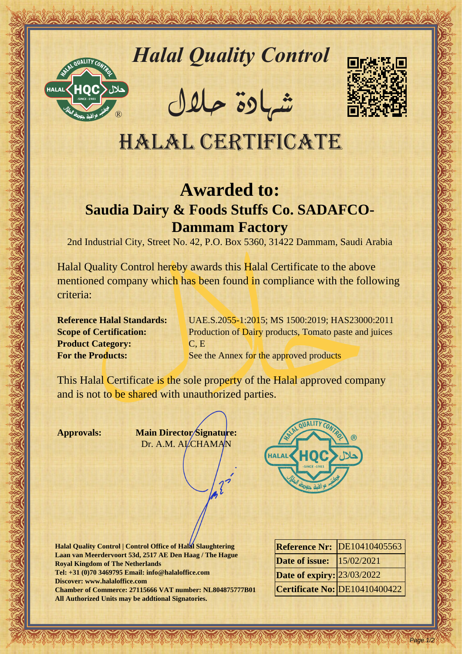

# *Halal Quality Control*

REACTOR AND THE REAL PROPERTY OF THE REAL PROPERTY

�شهادة حالل



## Halal Certificate

## **Awarded to:**

### **Saudia Dairy & Foods Stuffs Co. SADAFCO-Dammam Factory**

2nd Industrial City, Street No. 42, P.O. Box 5360, 31422 Dammam, Saudi Arabia

Halal Quality Control material and a control material of the CERTIFICATE<br>
HALAL CERTIFICATE<br>
Sandia Dairy & Foods Stuffs Co. SADAFCO-<br>
Particular and Alactic Co. Sandia Dairy & Foods Stuffs Co. SADAFCO-<br>
Particular and Com Halal Quality Control hereby awards this Halal Certificate to the above mentioned company which has been found in compliance with the following criteria:

**Product Category:** C, E

**Reference Halal Standards:** UAE.S.2055-1:2015; MS 1500:2019; HAS23000:2011 **Scope of Certification:** Production of Dairy products, Tomato paste and juices **For the Products:** See the Annex for the approved products

This Halal Certificate is the sole property of the Halal approved company and is not to be shared with unauthorized parties.

**Approvals: Main Director Signature:** Dr. A.M. ALCHAMAN



**Halal Quality Control | Control Office of Halal Slaughtering Laan van Meerdervoort 53d, 2517 AE Den Haag / The Hague Royal Kingdom of The Netherlands Tel: +31 (0)70 3469795 Email: info@halaloffice.com Discover: www.halaloffice.com Chamber of Commerce: 27115666 VAT number: NL804875777B01 All Authorized Units may be addtional Signatories.**

|                                   | <b>Reference Nr: DE10410405563</b> |
|-----------------------------------|------------------------------------|
| <b>Date of issue:</b>  15/02/2021 |                                    |
| <b>Date of expiry: 23/03/2022</b> |                                    |
|                                   | Certificate No: DE10410400422      |

Page 1/2